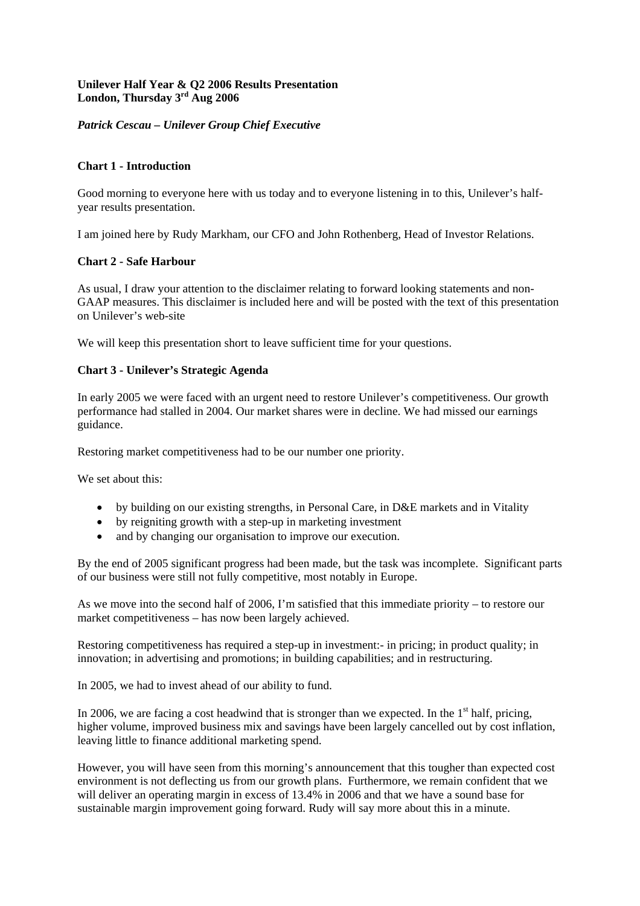# **Unilever Half Year & Q2 2006 Results Presentation London, Thursday 3rd Aug 2006**

# *Patrick Cescau – Unilever Group Chief Executive*

### **Chart 1 - Introduction**

Good morning to everyone here with us today and to everyone listening in to this, Unilever's halfyear results presentation.

I am joined here by Rudy Markham, our CFO and John Rothenberg, Head of Investor Relations.

### **Chart 2 - Safe Harbour**

As usual, I draw your attention to the disclaimer relating to forward looking statements and non-GAAP measures. This disclaimer is included here and will be posted with the text of this presentation on Unilever's web-site

We will keep this presentation short to leave sufficient time for your questions.

### **Chart 3 - Unilever's Strategic Agenda**

In early 2005 we were faced with an urgent need to restore Unilever's competitiveness. Our growth performance had stalled in 2004. Our market shares were in decline. We had missed our earnings guidance.

Restoring market competitiveness had to be our number one priority.

We set about this:

- by building on our existing strengths, in Personal Care, in D&E markets and in Vitality
- by reigniting growth with a step-up in marketing investment
- and by changing our organisation to improve our execution.

By the end of 2005 significant progress had been made, but the task was incomplete. Significant parts of our business were still not fully competitive, most notably in Europe.

As we move into the second half of 2006, I'm satisfied that this immediate priority – to restore our market competitiveness – has now been largely achieved.

Restoring competitiveness has required a step-up in investment:- in pricing; in product quality; in innovation; in advertising and promotions; in building capabilities; and in restructuring.

In 2005, we had to invest ahead of our ability to fund.

In 2006, we are facing a cost headwind that is stronger than we expected. In the  $1<sup>st</sup>$  half, pricing, higher volume, improved business mix and savings have been largely cancelled out by cost inflation, leaving little to finance additional marketing spend.

However, you will have seen from this morning's announcement that this tougher than expected cost environment is not deflecting us from our growth plans. Furthermore, we remain confident that we will deliver an operating margin in excess of 13.4% in 2006 and that we have a sound base for sustainable margin improvement going forward. Rudy will say more about this in a minute.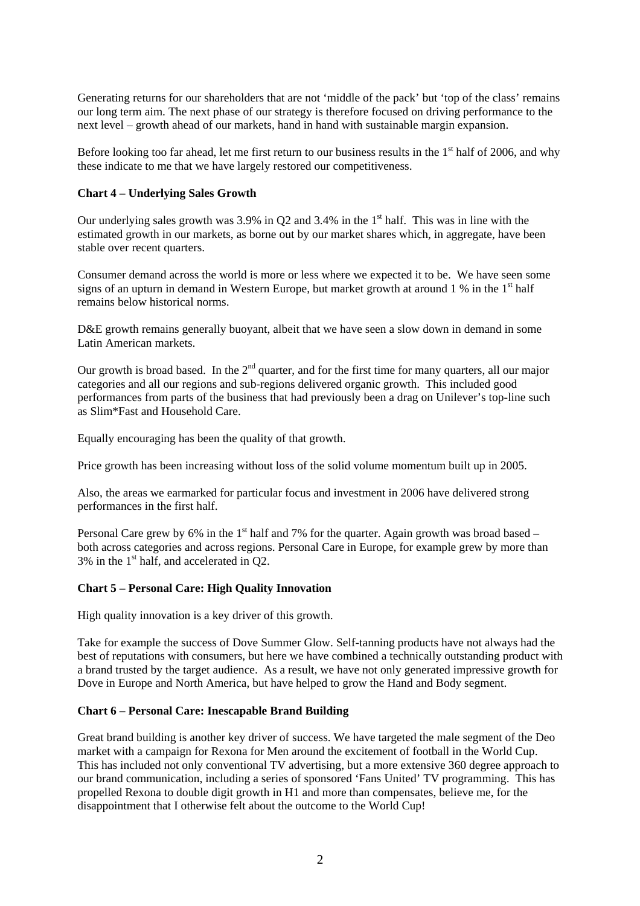Generating returns for our shareholders that are not 'middle of the pack' but 'top of the class' remains our long term aim. The next phase of our strategy is therefore focused on driving performance to the next level – growth ahead of our markets, hand in hand with sustainable margin expansion.

Before looking too far ahead, let me first return to our business results in the  $1<sup>st</sup>$  half of 2006, and why these indicate to me that we have largely restored our competitiveness.

### **Chart 4 – Underlying Sales Growth**

Our underlying sales growth was  $3.9\%$  in O2 and  $3.4\%$  in the 1<sup>st</sup> half. This was in line with the estimated growth in our markets, as borne out by our market shares which, in aggregate, have been stable over recent quarters.

Consumer demand across the world is more or less where we expected it to be. We have seen some signs of an upturn in demand in Western Europe, but market growth at around  $1\%$  in the  $1<sup>st</sup>$  half remains below historical norms.

D&E growth remains generally buoyant, albeit that we have seen a slow down in demand in some Latin American markets.

Our growth is broad based. In the  $2<sup>nd</sup>$  quarter, and for the first time for many quarters, all our major categories and all our regions and sub-regions delivered organic growth. This included good performances from parts of the business that had previously been a drag on Unilever's top-line such as Slim\*Fast and Household Care.

Equally encouraging has been the quality of that growth.

Price growth has been increasing without loss of the solid volume momentum built up in 2005.

Also, the areas we earmarked for particular focus and investment in 2006 have delivered strong performances in the first half.

Personal Care grew by 6% in the 1<sup>st</sup> half and 7% for the quarter. Again growth was broad based – both across categories and across regions. Personal Care in Europe, for example grew by more than  $3\%$  in the 1<sup>st</sup> half, and accelerated in Q2.

# **Chart 5 – Personal Care: High Quality Innovation**

High quality innovation is a key driver of this growth.

Take for example the success of Dove Summer Glow. Self-tanning products have not always had the best of reputations with consumers, but here we have combined a technically outstanding product with a brand trusted by the target audience. As a result, we have not only generated impressive growth for Dove in Europe and North America, but have helped to grow the Hand and Body segment.

# **Chart 6 – Personal Care: Inescapable Brand Building**

Great brand building is another key driver of success. We have targeted the male segment of the Deo market with a campaign for Rexona for Men around the excitement of football in the World Cup. This has included not only conventional TV advertising, but a more extensive 360 degree approach to our brand communication, including a series of sponsored 'Fans United' TV programming. This has propelled Rexona to double digit growth in H1 and more than compensates, believe me, for the disappointment that I otherwise felt about the outcome to the World Cup!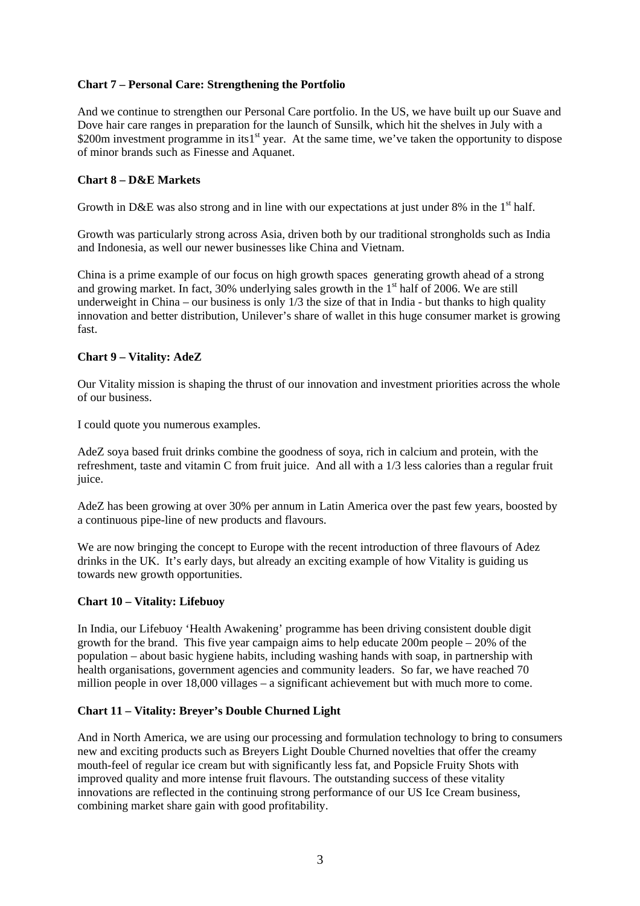# **Chart 7 – Personal Care: Strengthening the Portfolio**

And we continue to strengthen our Personal Care portfolio. In the US, we have built up our Suave and Dove hair care ranges in preparation for the launch of Sunsilk, which hit the shelves in July with a \$200m investment programme in its1<sup>st</sup> year. At the same time, we've taken the opportunity to dispose of minor brands such as Finesse and Aquanet.

# **Chart 8 – D&E Markets**

Growth in D&E was also strong and in line with our expectations at just under  $8\%$  in the 1<sup>st</sup> half.

Growth was particularly strong across Asia, driven both by our traditional strongholds such as India and Indonesia, as well our newer businesses like China and Vietnam.

China is a prime example of our focus on high growth spaces generating growth ahead of a strong and growing market. In fact,  $30\%$  underlying sales growth in the  $1<sup>st</sup>$  half of 2006. We are still underweight in China – our business is only 1/3 the size of that in India - but thanks to high quality innovation and better distribution, Unilever's share of wallet in this huge consumer market is growing fast.

# **Chart 9 – Vitality: AdeZ**

Our Vitality mission is shaping the thrust of our innovation and investment priorities across the whole of our business.

I could quote you numerous examples.

AdeZ soya based fruit drinks combine the goodness of soya, rich in calcium and protein, with the refreshment, taste and vitamin C from fruit juice. And all with a 1/3 less calories than a regular fruit juice.

AdeZ has been growing at over 30% per annum in Latin America over the past few years, boosted by a continuous pipe-line of new products and flavours.

We are now bringing the concept to Europe with the recent introduction of three flavours of Adez drinks in the UK. It's early days, but already an exciting example of how Vitality is guiding us towards new growth opportunities.

### **Chart 10 – Vitality: Lifebuoy**

In India, our Lifebuoy 'Health Awakening' programme has been driving consistent double digit growth for the brand. This five year campaign aims to help educate 200m people – 20% of the population – about basic hygiene habits, including washing hands with soap, in partnership with health organisations, government agencies and community leaders. So far, we have reached 70 million people in over 18,000 villages – a significant achievement but with much more to come.

# **Chart 11 – Vitality: Breyer's Double Churned Light**

And in North America, we are using our processing and formulation technology to bring to consumers new and exciting products such as Breyers Light Double Churned novelties that offer the creamy mouth-feel of regular ice cream but with significantly less fat, and Popsicle Fruity Shots with improved quality and more intense fruit flavours. The outstanding success of these vitality innovations are reflected in the continuing strong performance of our US Ice Cream business, combining market share gain with good profitability.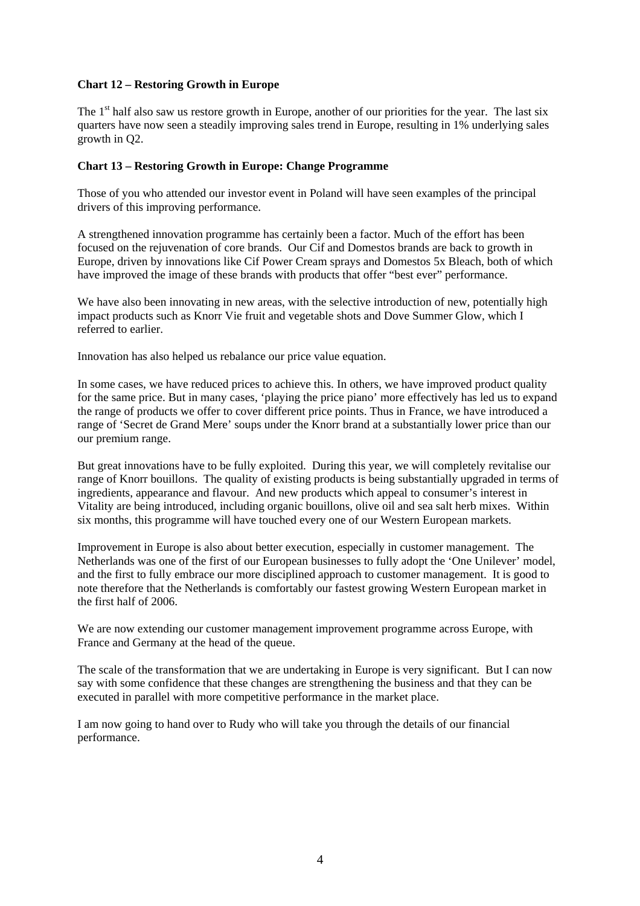### **Chart 12 – Restoring Growth in Europe**

The 1<sup>st</sup> half also saw us restore growth in Europe, another of our priorities for the year. The last six quarters have now seen a steadily improving sales trend in Europe, resulting in 1% underlying sales growth in Q2.

# **Chart 13 – Restoring Growth in Europe: Change Programme**

Those of you who attended our investor event in Poland will have seen examples of the principal drivers of this improving performance.

A strengthened innovation programme has certainly been a factor. Much of the effort has been focused on the rejuvenation of core brands. Our Cif and Domestos brands are back to growth in Europe, driven by innovations like Cif Power Cream sprays and Domestos 5x Bleach, both of which have improved the image of these brands with products that offer "best ever" performance.

We have also been innovating in new areas, with the selective introduction of new, potentially high impact products such as Knorr Vie fruit and vegetable shots and Dove Summer Glow, which I referred to earlier.

Innovation has also helped us rebalance our price value equation.

In some cases, we have reduced prices to achieve this. In others, we have improved product quality for the same price. But in many cases, 'playing the price piano' more effectively has led us to expand the range of products we offer to cover different price points. Thus in France, we have introduced a range of 'Secret de Grand Mere' soups under the Knorr brand at a substantially lower price than our our premium range.

But great innovations have to be fully exploited. During this year, we will completely revitalise our range of Knorr bouillons. The quality of existing products is being substantially upgraded in terms of ingredients, appearance and flavour. And new products which appeal to consumer's interest in Vitality are being introduced, including organic bouillons, olive oil and sea salt herb mixes. Within six months, this programme will have touched every one of our Western European markets.

Improvement in Europe is also about better execution, especially in customer management. The Netherlands was one of the first of our European businesses to fully adopt the 'One Unilever' model, and the first to fully embrace our more disciplined approach to customer management. It is good to note therefore that the Netherlands is comfortably our fastest growing Western European market in the first half of 2006.

We are now extending our customer management improvement programme across Europe, with France and Germany at the head of the queue.

The scale of the transformation that we are undertaking in Europe is very significant. But I can now say with some confidence that these changes are strengthening the business and that they can be executed in parallel with more competitive performance in the market place.

I am now going to hand over to Rudy who will take you through the details of our financial performance.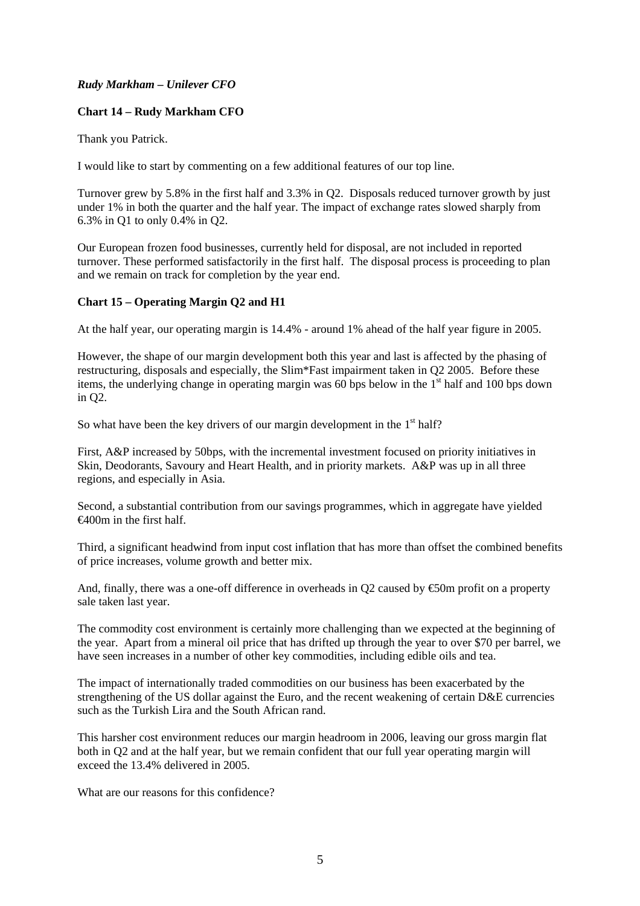# *Rudy Markham – Unilever CFO*

# **Chart 14 – Rudy Markham CFO**

Thank you Patrick.

I would like to start by commenting on a few additional features of our top line.

Turnover grew by 5.8% in the first half and 3.3% in Q2. Disposals reduced turnover growth by just under 1% in both the quarter and the half year. The impact of exchange rates slowed sharply from 6.3% in Q1 to only 0.4% in Q2.

Our European frozen food businesses, currently held for disposal, are not included in reported turnover. These performed satisfactorily in the first half. The disposal process is proceeding to plan and we remain on track for completion by the year end.

### **Chart 15 – Operating Margin Q2 and H1**

At the half year, our operating margin is 14.4% - around 1% ahead of the half year figure in 2005.

However, the shape of our margin development both this year and last is affected by the phasing of restructuring, disposals and especially, the Slim\*Fast impairment taken in Q2 2005. Before these items, the underlying change in operating margin was 60 bps below in the  $1<sup>st</sup>$  half and 100 bps down in Q2.

So what have been the key drivers of our margin development in the  $1<sup>st</sup>$  half?

First, A&P increased by 50bps, with the incremental investment focused on priority initiatives in Skin, Deodorants, Savoury and Heart Health, and in priority markets. A&P was up in all three regions, and especially in Asia.

Second, a substantial contribution from our savings programmes, which in aggregate have yielded €400m in the first half.

Third, a significant headwind from input cost inflation that has more than offset the combined benefits of price increases, volume growth and better mix.

And, finally, there was a one-off difference in overheads in Q2 caused by  $\epsilon$ 50m profit on a property sale taken last year.

The commodity cost environment is certainly more challenging than we expected at the beginning of the year. Apart from a mineral oil price that has drifted up through the year to over \$70 per barrel, we have seen increases in a number of other key commodities, including edible oils and tea.

The impact of internationally traded commodities on our business has been exacerbated by the strengthening of the US dollar against the Euro, and the recent weakening of certain D&E currencies such as the Turkish Lira and the South African rand.

This harsher cost environment reduces our margin headroom in 2006, leaving our gross margin flat both in Q2 and at the half year, but we remain confident that our full year operating margin will exceed the 13.4% delivered in 2005.

What are our reasons for this confidence?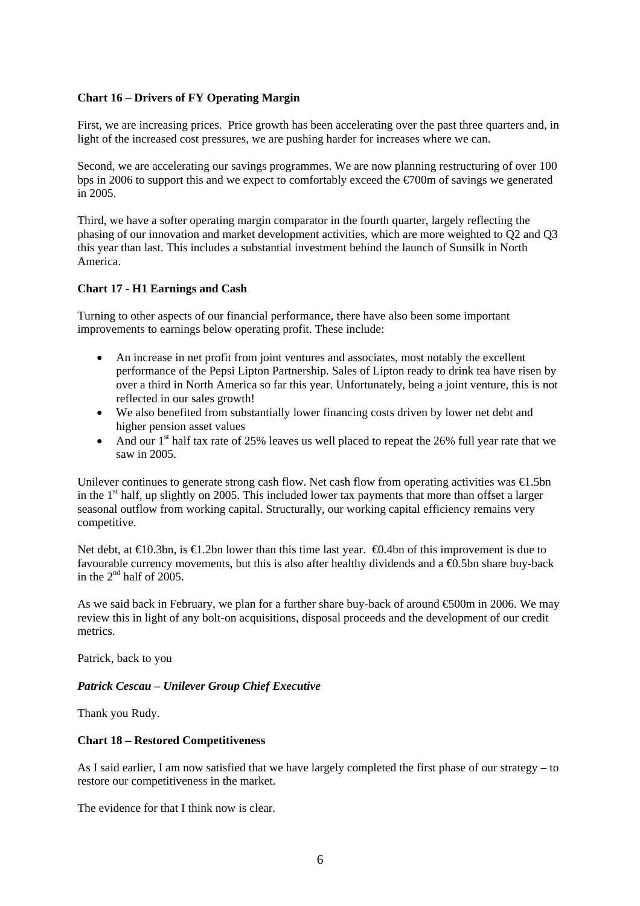### **Chart 16 – Drivers of FY Operating Margin**

First, we are increasing prices. Price growth has been accelerating over the past three quarters and, in light of the increased cost pressures, we are pushing harder for increases where we can.

Second, we are accelerating our savings programmes. We are now planning restructuring of over 100 bps in 2006 to support this and we expect to comfortably exceed the €700m of savings we generated in 2005.

Third, we have a softer operating margin comparator in the fourth quarter, largely reflecting the phasing of our innovation and market development activities, which are more weighted to Q2 and Q3 this year than last. This includes a substantial investment behind the launch of Sunsilk in North America.

# **Chart 17 - H1 Earnings and Cash**

Turning to other aspects of our financial performance, there have also been some important improvements to earnings below operating profit. These include:

- An increase in net profit from joint ventures and associates, most notably the excellent performance of the Pepsi Lipton Partnership. Sales of Lipton ready to drink tea have risen by over a third in North America so far this year. Unfortunately, being a joint venture, this is not reflected in our sales growth!
- We also benefited from substantially lower financing costs driven by lower net debt and higher pension asset values
- And our  $1<sup>st</sup>$  half tax rate of 25% leaves us well placed to repeat the 26% full year rate that we saw in 2005.

Unilever continues to generate strong cash flow. Net cash flow from operating activities was  $\bigoplus$ . 5bn in the  $1<sup>st</sup>$  half, up slightly on 2005. This included lower tax payments that more than offset a larger seasonal outflow from working capital. Structurally, our working capital efficiency remains very competitive.

Net debt, at  $\infty$  0.3bn, is  $\infty$  2bn lower than this time last year.  $\infty$ 0.4bn of this improvement is due to favourable currency movements, but this is also after healthy dividends and a  $\bigoplus$ .5bn share buy-back in the  $2<sup>nd</sup>$  half of 2005.

As we said back in February, we plan for a further share buy-back of around €500m in 2006. We may review this in light of any bolt-on acquisitions, disposal proceeds and the development of our credit metrics.

Patrick, back to you

*Patrick Cescau – Unilever Group Chief Executive* 

Thank you Rudy.

### **Chart 18 – Restored Competitiveness**

As I said earlier, I am now satisfied that we have largely completed the first phase of our strategy – to restore our competitiveness in the market.

The evidence for that I think now is clear.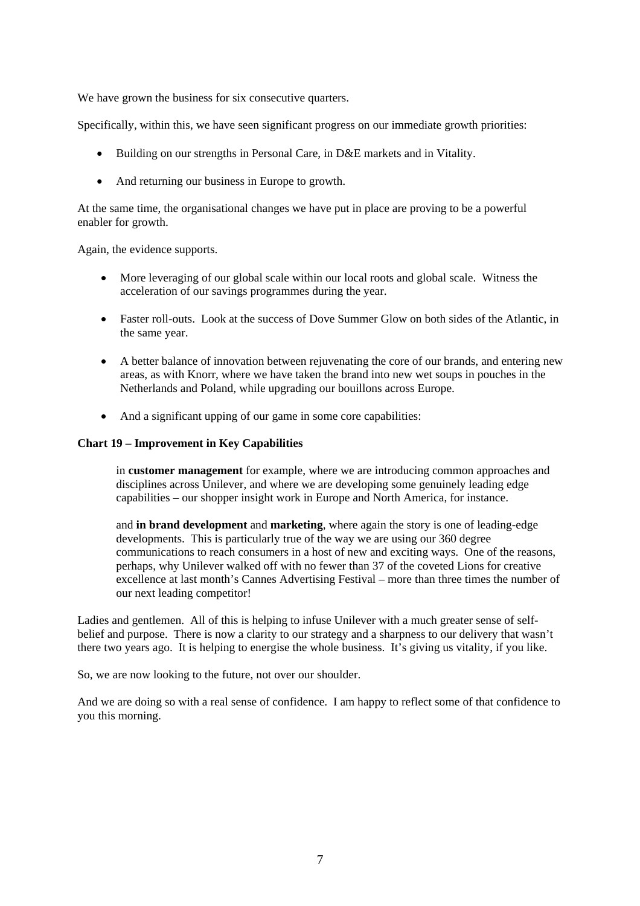We have grown the business for six consecutive quarters.

Specifically, within this, we have seen significant progress on our immediate growth priorities:

- Building on our strengths in Personal Care, in D&E markets and in Vitality.
- And returning our business in Europe to growth.

At the same time, the organisational changes we have put in place are proving to be a powerful enabler for growth.

Again, the evidence supports.

- More leveraging of our global scale within our local roots and global scale. Witness the acceleration of our savings programmes during the year.
- Faster roll-outs. Look at the success of Dove Summer Glow on both sides of the Atlantic, in the same year.
- A better balance of innovation between rejuvenating the core of our brands, and entering new areas, as with Knorr, where we have taken the brand into new wet soups in pouches in the Netherlands and Poland, while upgrading our bouillons across Europe.
- And a significant upping of our game in some core capabilities:

### **Chart 19 – Improvement in Key Capabilities**

in **customer management** for example, where we are introducing common approaches and disciplines across Unilever, and where we are developing some genuinely leading edge capabilities – our shopper insight work in Europe and North America, for instance.

and **in brand development** and **marketing**, where again the story is one of leading-edge developments. This is particularly true of the way we are using our 360 degree communications to reach consumers in a host of new and exciting ways. One of the reasons, perhaps, why Unilever walked off with no fewer than 37 of the coveted Lions for creative excellence at last month's Cannes Advertising Festival – more than three times the number of our next leading competitor!

Ladies and gentlemen. All of this is helping to infuse Unilever with a much greater sense of selfbelief and purpose. There is now a clarity to our strategy and a sharpness to our delivery that wasn't there two years ago. It is helping to energise the whole business. It's giving us vitality, if you like.

So, we are now looking to the future, not over our shoulder.

And we are doing so with a real sense of confidence. I am happy to reflect some of that confidence to you this morning.